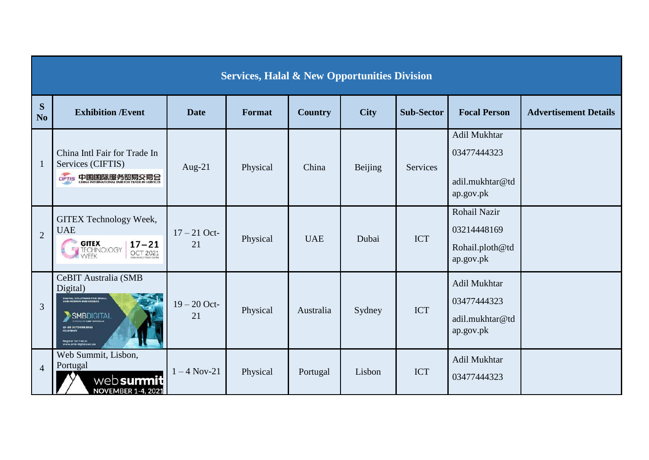| <b>Services, Halal &amp; New Opportunities Division</b> |                                                                                                                                                                                       |                      |          |                |             |                   |                                                             |                              |
|---------------------------------------------------------|---------------------------------------------------------------------------------------------------------------------------------------------------------------------------------------|----------------------|----------|----------------|-------------|-------------------|-------------------------------------------------------------|------------------------------|
| S<br>N <sub>0</sub>                                     | <b>Exhibition /Event</b>                                                                                                                                                              | <b>Date</b>          | Format   | <b>Country</b> | <b>City</b> | <b>Sub-Sector</b> | <b>Focal Person</b>                                         | <b>Advertisement Details</b> |
| $\mathbf{1}$                                            | China Intl Fair for Trade In<br>Services (CIFTIS)<br>CIFTIS 中国国际服务贸易交易会                                                                                                               | Aug-21               | Physical | China          | Beijing     | Services          | Adil Mukhtar<br>03477444323<br>adil.mukhtar@td<br>ap.gov.pk |                              |
| $\overline{2}$                                          | GITEX Technology Week,<br><b>UAE</b><br><b>GITEX</b><br>$17 - 21$<br>VEEK<br>OCT 2021                                                                                                 | $17 - 21$ Oct-<br>21 | Physical | <b>UAE</b>     | Dubai       | <b>ICT</b>        | Rohail Nazir<br>03214448169<br>Rohail.ploth@td<br>ap.gov.pk |                              |
| 3                                                       | CeBIT Australia (SMB<br>Digital)<br>DIGITAL SOLUTIONS FOR SMALL<br>AND MEDIUM BUSINESSES<br><b>SMBDIGITAL</b><br>19-80 OCTOBER 2021<br>Register for free at<br>www.smb-digital.com.ou | $19 - 20$ Oct-<br>21 | Physical | Australia      | Sydney      | <b>ICT</b>        | Adil Mukhtar<br>03477444323<br>adil.mukhtar@td<br>ap.gov.pk |                              |
| $\overline{4}$                                          | Web Summit, Lisbon,<br>Portugal<br>web summit<br><b>NOVEMBER 1-4, 2021</b>                                                                                                            | $1 - 4$ Nov-21       | Physical | Portugal       | Lisbon      | <b>ICT</b>        | Adil Mukhtar<br>03477444323                                 |                              |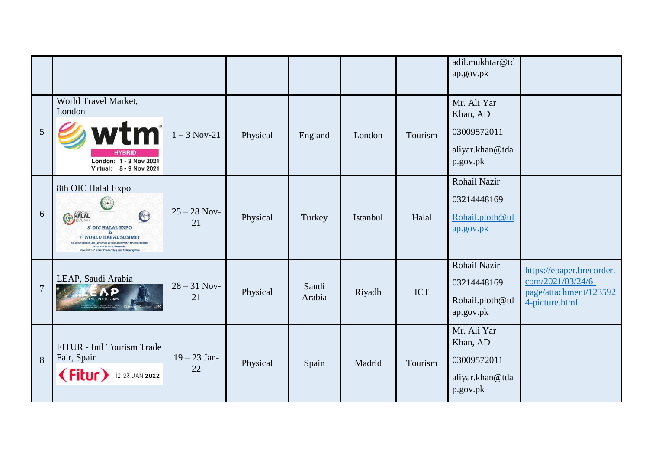|                |                                                                                                                                                                                                                                                                                          |                      |          |                 |          |            | adil.mukhtar@td<br>ap.gov.pk                                          |                                                                                            |
|----------------|------------------------------------------------------------------------------------------------------------------------------------------------------------------------------------------------------------------------------------------------------------------------------------------|----------------------|----------|-----------------|----------|------------|-----------------------------------------------------------------------|--------------------------------------------------------------------------------------------|
| $\mathfrak{S}$ | World Travel Market,<br>London<br>wtm<br><b>HYBRID</b><br>London: 1 - 3 Nov 2021<br>Virtual: 8 - 9 Nov 2021                                                                                                                                                                              | $1 - 3$ Nov-21       | Physical | England         | London   | Tourism    | Mr. Ali Yar<br>Khan, AD<br>03009572011<br>aliyar.khan@tda<br>p.gov.pk |                                                                                            |
| 6              | 8th OIC Halal Expo<br>$\left(\begin{array}{c} \bullet \end{array}\right)$<br><b>CONTES</b><br><b>CON HALAL</b><br>8" OIC HALAL EXPO<br>87<br><b>7" WORLD HALAL SUMMIT</b><br>/ ISTANIAT, COMGARIES CENTER / 1<br>New Era & New Normals:<br>Necessity of Halal Production and Consumption | $25 - 28$ Nov-<br>21 | Physical | Turkey          | Istanbul | Halal      | Rohail Nazir<br>03214448169<br>Rohail.ploth@td<br>ap.gov.pk           |                                                                                            |
| $\overline{7}$ | LEAP, Saudi Arabia                                                                                                                                                                                                                                                                       | $28 - 31$ Nov-<br>21 | Physical | Saudi<br>Arabia | Riyadh   | <b>ICT</b> | Rohail Nazir<br>03214448169<br>Rohail.ploth@td<br>ap.gov.pk           | https://epaper.brecorder.<br>com/2021/03/24/6-<br>page/attachment/123592<br>4-picture.html |
| 8              | FITUR - Intl Tourism Trade<br>Fair, Spain<br>(Fitur)<br>19-23 JAN 2022                                                                                                                                                                                                                   | $19 - 23$ Jan-<br>22 | Physical | Spain           | Madrid   | Tourism    | Mr. Ali Yar<br>Khan, AD<br>03009572011<br>aliyar.khan@tda<br>p.gov.pk |                                                                                            |